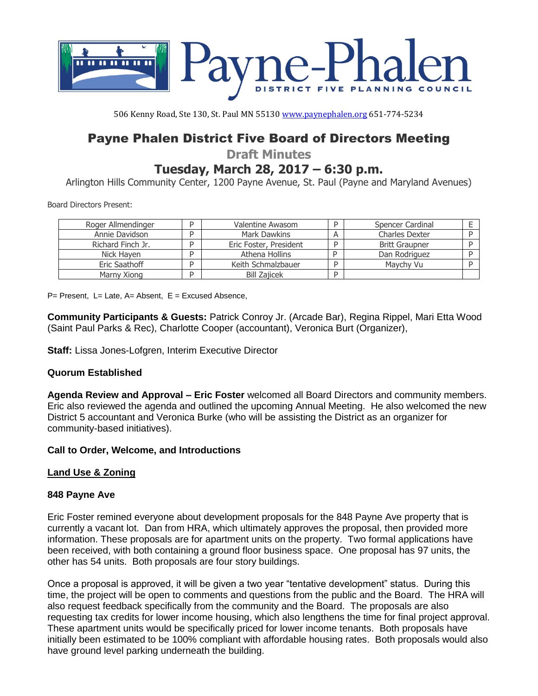

506 Kenny Road, Ste 130, St. Paul MN 55130 [www.paynephalen.org](http://www.paynephalen.org/) 651-774-5234

# Payne Phalen District Five Board of Directors Meeting

**Draft Minutes**

# **Tuesday, March 28, 2017 – 6:30 p.m.**

Arlington Hills Community Center, 1200 Payne Avenue, St. Paul (Payne and Maryland Avenues)

Board Directors Present:

| Roger Allmendinger | Valentine Awasom       | D | Spencer Cardinal      |  |
|--------------------|------------------------|---|-----------------------|--|
| Annie Davidson     | Mark Dawkins           |   | <b>Charles Dexter</b> |  |
| Richard Finch Jr.  | Eric Foster, President | D | <b>Britt Graupner</b> |  |
| Nick Haven         | Athena Hollins         |   | Dan Rodriguez         |  |
| Eric Saathoff      | Keith Schmalzbauer     | D | Maychy Vu             |  |
| Marny Xiong        | <b>Bill Zajicek</b>    | D |                       |  |

P= Present, L= Late, A= Absent, E = Excused Absence,

**Community Participants & Guests:** Patrick Conroy Jr. (Arcade Bar), Regina Rippel, Mari Etta Wood (Saint Paul Parks & Rec), Charlotte Cooper (accountant), Veronica Burt (Organizer),

**Staff:** Lissa Jones-Lofgren, Interim Executive Director

#### **Quorum Established**

**Agenda Review and Approval – Eric Foster** welcomed all Board Directors and community members. Eric also reviewed the agenda and outlined the upcoming Annual Meeting. He also welcomed the new District 5 accountant and Veronica Burke (who will be assisting the District as an organizer for community-based initiatives).

#### **Call to Order, Welcome, and Introductions**

## **Land Use & Zoning**

#### **848 Payne Ave**

Eric Foster remined everyone about development proposals for the 848 Payne Ave property that is currently a vacant lot. Dan from HRA, which ultimately approves the proposal, then provided more information. These proposals are for apartment units on the property. Two formal applications have been received, with both containing a ground floor business space. One proposal has 97 units, the other has 54 units. Both proposals are four story buildings.

Once a proposal is approved, it will be given a two year "tentative development" status. During this time, the project will be open to comments and questions from the public and the Board. The HRA will also request feedback specifically from the community and the Board. The proposals are also requesting tax credits for lower income housing, which also lengthens the time for final project approval. These apartment units would be specifically priced for lower income tenants. Both proposals have initially been estimated to be 100% compliant with affordable housing rates. Both proposals would also have ground level parking underneath the building.